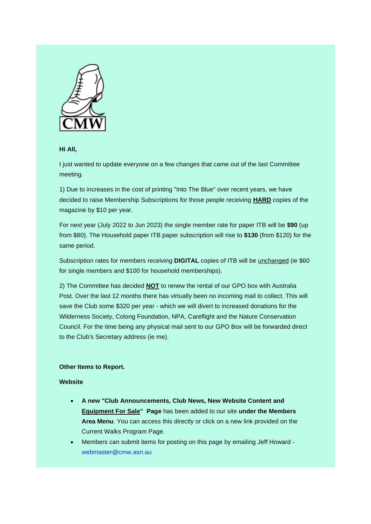

## **Hi All,**

I just wanted to update everyone on a few changes that came out of the last Committee meeting.

1) Due to increases in the cost of printing "Into The Blue" over recent years, we have decided to raise Membership Subscriptions for those people receiving **HARD** copies of the magazine by \$10 per year.

For next year (July 2022 to Jun 2023) the single member rate for paper ITB will be **\$90** (up from \$80). The Household paper ITB paper subscription will rise to **\$130** (from \$120) for the same period.

Subscription rates for members receiving **DIGITAL** copies of ITB will be unchanged (ie \$60 for single members and \$100 for household memberships).

2) The Committee has decided **NOT** to renew the rental of our GPO box with Australia Post. Over the last 12 months there has virtually been no incoming mail to collect. This will save the Club some \$320 per year - which we will divert to increased donations for the Wilderness Society, Colong Foundation, NPA, Careflight and the Nature Conservation Council. For the time being any physical mail sent to our GPO Box will be forwarded direct to the Club's Secretary address (ie me).

## **Other Items to Report.**

## **Website**

- **A new "Club Announcements, Club News, New Website Content and Equipment For Sale" Page** has been added to our site **under the Members Area Menu**. You can access this directly or click on a new link provided on the Current Walks Program Page.
- Members can submit items for posting on this page by emailing Jeff Howard [webmaster@cmw.asn.au](mailto:webmaster@cmw.asn.au)